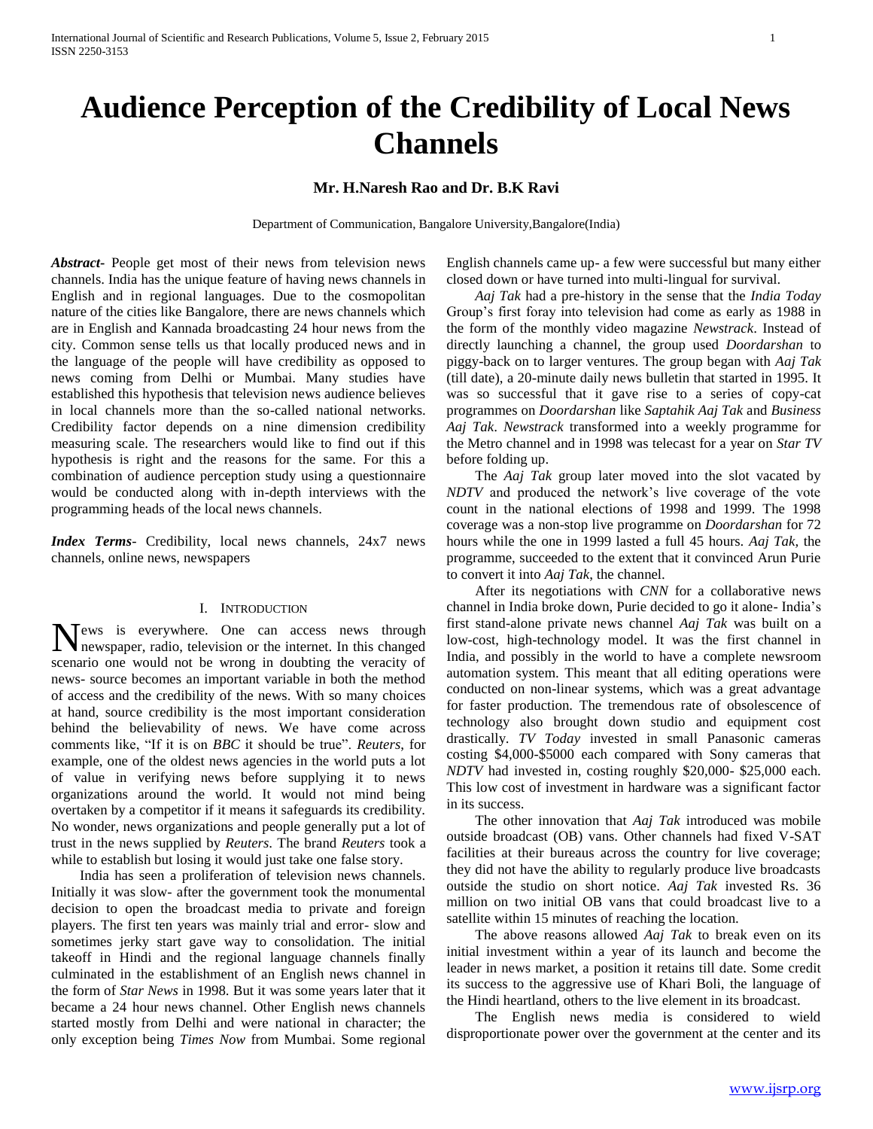# **Audience Perception of the Credibility of Local News Channels**

# **Mr. H.Naresh Rao and Dr. B.K Ravi**

Department of Communication, Bangalore University,Bangalore(India)

*Abstract***-** People get most of their news from television news channels. India has the unique feature of having news channels in English and in regional languages. Due to the cosmopolitan nature of the cities like Bangalore, there are news channels which are in English and Kannada broadcasting 24 hour news from the city. Common sense tells us that locally produced news and in the language of the people will have credibility as opposed to news coming from Delhi or Mumbai. Many studies have established this hypothesis that television news audience believes in local channels more than the so-called national networks. Credibility factor depends on a nine dimension credibility measuring scale. The researchers would like to find out if this hypothesis is right and the reasons for the same. For this a combination of audience perception study using a questionnaire would be conducted along with in-depth interviews with the programming heads of the local news channels.

*Index Terms*- Credibility, local news channels, 24x7 news channels, online news, newspapers

## I. INTRODUCTION

News is everywhere. One can access news through newspaper, radio, television or the internet. In this changed newspaper, radio, television or the internet. In this changed scenario one would not be wrong in doubting the veracity of news- source becomes an important variable in both the method of access and the credibility of the news. With so many choices at hand, source credibility is the most important consideration behind the believability of news. We have come across comments like, "If it is on *BBC* it should be true". *Reuters*, for example, one of the oldest news agencies in the world puts a lot of value in verifying news before supplying it to news organizations around the world. It would not mind being overtaken by a competitor if it means it safeguards its credibility. No wonder, news organizations and people generally put a lot of trust in the news supplied by *Reuters*. The brand *Reuters* took a while to establish but losing it would just take one false story.

 India has seen a proliferation of television news channels. Initially it was slow- after the government took the monumental decision to open the broadcast media to private and foreign players. The first ten years was mainly trial and error- slow and sometimes jerky start gave way to consolidation. The initial takeoff in Hindi and the regional language channels finally culminated in the establishment of an English news channel in the form of *Star News* in 1998. But it was some years later that it became a 24 hour news channel. Other English news channels started mostly from Delhi and were national in character; the only exception being *Times Now* from Mumbai. Some regional

English channels came up- a few were successful but many either closed down or have turned into multi-lingual for survival.

 *Aaj Tak* had a pre-history in the sense that the *India Today* Group's first foray into television had come as early as 1988 in the form of the monthly video magazine *Newstrack*. Instead of directly launching a channel, the group used *Doordarshan* to piggy-back on to larger ventures. The group began with *Aaj Tak* (till date), a 20-minute daily news bulletin that started in 1995. It was so successful that it gave rise to a series of copy-cat programmes on *Doordarshan* like *Saptahik Aaj Tak* and *Business Aaj Tak*. *Newstrack* transformed into a weekly programme for the Metro channel and in 1998 was telecast for a year on *Star TV* before folding up.

 The *Aaj Tak* group later moved into the slot vacated by *NDTV* and produced the network's live coverage of the vote count in the national elections of 1998 and 1999. The 1998 coverage was a non-stop live programme on *Doordarshan* for 72 hours while the one in 1999 lasted a full 45 hours. *Aaj Tak,* the programme, succeeded to the extent that it convinced Arun Purie to convert it into *Aaj Tak*, the channel.

 After its negotiations with *CNN* for a collaborative news channel in India broke down, Purie decided to go it alone- India's first stand-alone private news channel *Aaj Tak* was built on a low-cost, high-technology model. It was the first channel in India, and possibly in the world to have a complete newsroom automation system. This meant that all editing operations were conducted on non-linear systems, which was a great advantage for faster production. The tremendous rate of obsolescence of technology also brought down studio and equipment cost drastically. *TV Today* invested in small Panasonic cameras costing \$4,000-\$5000 each compared with Sony cameras that *NDTV* had invested in, costing roughly \$20,000- \$25,000 each. This low cost of investment in hardware was a significant factor in its success.

 The other innovation that *Aaj Tak* introduced was mobile outside broadcast (OB) vans. Other channels had fixed V-SAT facilities at their bureaus across the country for live coverage; they did not have the ability to regularly produce live broadcasts outside the studio on short notice. *Aaj Tak* invested Rs. 36 million on two initial OB vans that could broadcast live to a satellite within 15 minutes of reaching the location.

 The above reasons allowed *Aaj Tak* to break even on its initial investment within a year of its launch and become the leader in news market, a position it retains till date. Some credit its success to the aggressive use of Khari Boli, the language of the Hindi heartland, others to the live element in its broadcast.

 The English news media is considered to wield disproportionate power over the government at the center and its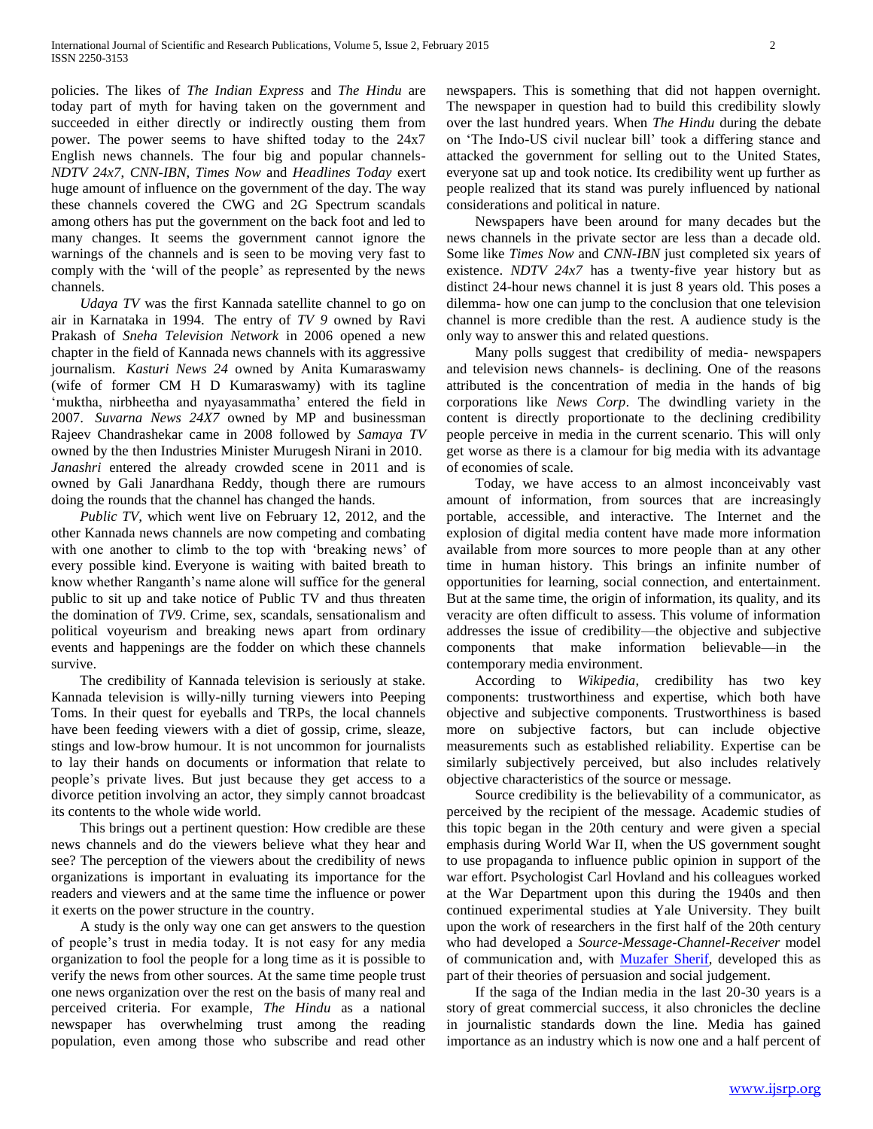policies. The likes of *The Indian Express* and *The Hindu* are today part of myth for having taken on the government and succeeded in either directly or indirectly ousting them from power. The power seems to have shifted today to the 24x7 English news channels. The four big and popular channels-*NDTV 24x7*, *CNN-IBN*, *Times Now* and *Headlines Today* exert huge amount of influence on the government of the day. The way these channels covered the CWG and 2G Spectrum scandals among others has put the government on the back foot and led to many changes. It seems the government cannot ignore the warnings of the channels and is seen to be moving very fast to comply with the 'will of the people' as represented by the news channels.

 *Udaya TV* was the first Kannada satellite channel to go on air in Karnataka in 1994. The entry of *TV 9* owned by Ravi Prakash of *Sneha Television Network* in 2006 opened a new chapter in the field of Kannada news channels with its aggressive journalism. *Kasturi News 24* owned by Anita Kumaraswamy (wife of former CM H D Kumaraswamy) with its tagline 'muktha, nirbheetha and nyayasammatha' entered the field in 2007. *Suvarna News 24X7* owned by MP and businessman Rajeev Chandrashekar came in 2008 followed by *Samaya TV* owned by the then Industries Minister Murugesh Nirani in 2010. *Janashri* entered the already crowded scene in 2011 and is owned by Gali Janardhana Reddy, though there are rumours doing the rounds that the channel has changed the hands.

 *Public TV,* which went live on February 12, 2012, and the other Kannada news channels are now competing and combating with one another to climb to the top with 'breaking news' of every possible kind. Everyone is waiting with baited breath to know whether Ranganth's name alone will suffice for the general public to sit up and take notice of Public TV and thus threaten the domination of *TV9*. Crime, sex, scandals, sensationalism and political voyeurism and breaking news apart from ordinary events and happenings are the fodder on which these channels survive.

 The credibility of Kannada television is seriously at stake. Kannada television is willy-nilly turning viewers into Peeping Toms. In their quest for eyeballs and TRPs, the local channels have been feeding viewers with a diet of gossip, crime, sleaze, stings and low-brow humour. It is not uncommon for journalists to lay their hands on documents or information that relate to people's private lives. But just because they get access to a divorce petition involving an actor, they simply cannot broadcast its contents to the whole wide world.

 This brings out a pertinent question: How credible are these news channels and do the viewers believe what they hear and see? The perception of the viewers about the credibility of news organizations is important in evaluating its importance for the readers and viewers and at the same time the influence or power it exerts on the power structure in the country.

 A study is the only way one can get answers to the question of people's trust in media today. It is not easy for any media organization to fool the people for a long time as it is possible to verify the news from other sources. At the same time people trust one news organization over the rest on the basis of many real and perceived criteria. For example, *The Hindu* as a national newspaper has overwhelming trust among the reading population, even among those who subscribe and read other

newspapers. This is something that did not happen overnight. The newspaper in question had to build this credibility slowly over the last hundred years. When *The Hindu* during the debate on 'The Indo-US civil nuclear bill' took a differing stance and attacked the government for selling out to the United States, everyone sat up and took notice. Its credibility went up further as people realized that its stand was purely influenced by national considerations and political in nature.

 Newspapers have been around for many decades but the news channels in the private sector are less than a decade old. Some like *Times Now* and *CNN-IBN* just completed six years of existence. *NDTV 24x7* has a twenty-five year history but as distinct 24-hour news channel it is just 8 years old. This poses a dilemma- how one can jump to the conclusion that one television channel is more credible than the rest. A audience study is the only way to answer this and related questions.

 Many polls suggest that credibility of media- newspapers and television news channels- is declining. One of the reasons attributed is the concentration of media in the hands of big corporations like *News Corp*. The dwindling variety in the content is directly proportionate to the declining credibility people perceive in media in the current scenario. This will only get worse as there is a clamour for big media with its advantage of economies of scale.

 Today, we have access to an almost inconceivably vast amount of information, from sources that are increasingly portable, accessible, and interactive. The Internet and the explosion of digital media content have made more information available from more sources to more people than at any other time in human history. This brings an infinite number of opportunities for learning, social connection, and entertainment. But at the same time, the origin of information, its quality, and its veracity are often difficult to assess. This volume of information addresses the issue of credibility—the objective and subjective components that make information believable—in the contemporary media environment.

 According to *Wikipedia*, credibility has two key components: trustworthiness and expertise, which both have objective and subjective components. Trustworthiness is based more on subjective factors, but can include objective measurements such as established reliability. Expertise can be similarly subjectively perceived, but also includes relatively objective characteristics of the source or message.

 Source credibility is the believability of a communicator, as perceived by the recipient of the message. Academic studies of this topic began in the 20th century and were given a special emphasis during World War II, when the US government sought to use propaganda to influence public opinion in support of the war effort. Psychologist Carl Hovland and his colleagues worked at the War Department upon this during the 1940s and then continued experimental studies at Yale University. They built upon the work of researchers in the first half of the 20th century who had developed a *Source-Message-Channel-Receiver* model of communication and, with [Muzafer Sherif,](http://en.wikipedia.org/wiki/Muzafer_Sherif) developed this as part of their theories of persuasion and social judgement.

 If the saga of the Indian media in the last 20-30 years is a story of great commercial success, it also chronicles the decline in journalistic standards down the line. Media has gained importance as an industry which is now one and a half percent of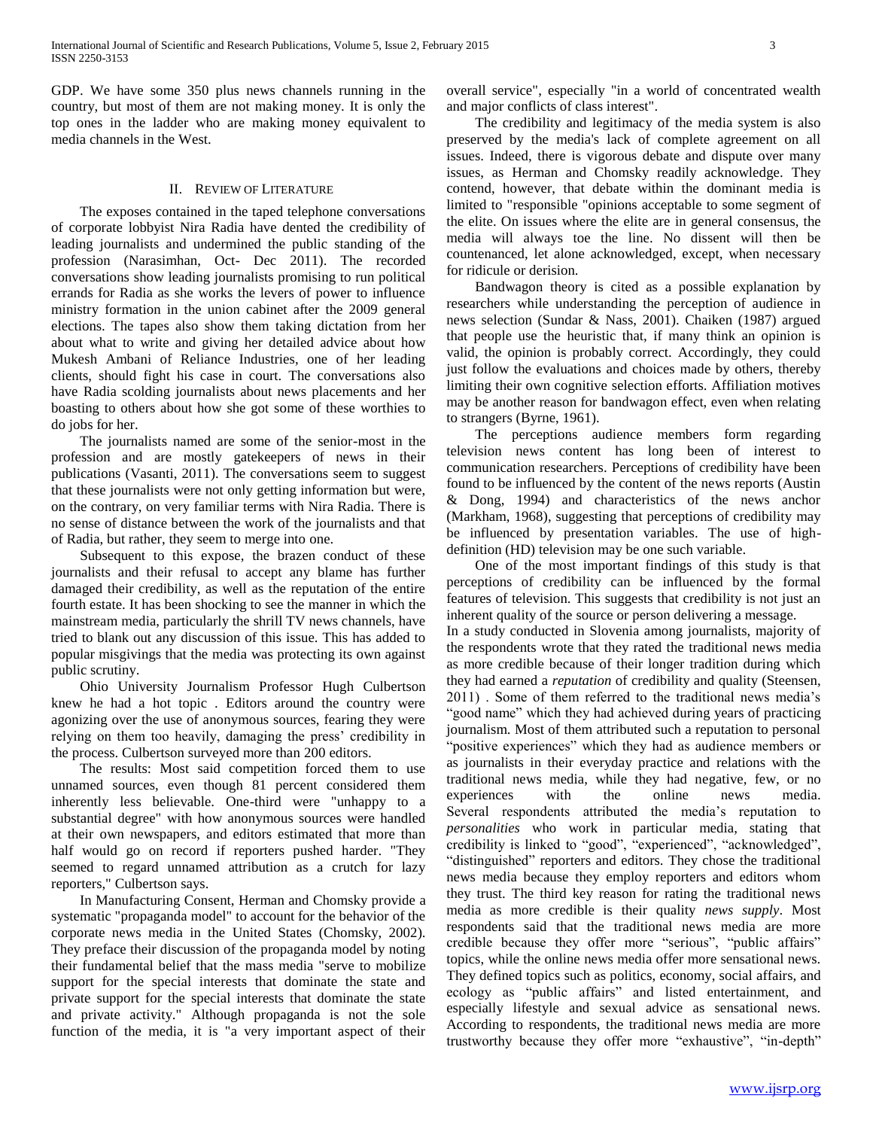GDP. We have some 350 plus news channels running in the country, but most of them are not making money. It is only the top ones in the ladder who are making money equivalent to media channels in the West.

## II. REVIEW OF LITERATURE

 The exposes contained in the taped telephone conversations of corporate lobbyist Nira Radia have dented the credibility of leading journalists and undermined the public standing of the profession (Narasimhan, Oct- Dec 2011). The recorded conversations show leading journalists promising to run political errands for Radia as she works the levers of power to influence ministry formation in the union cabinet after the 2009 general elections. The tapes also show them taking dictation from her about what to write and giving her detailed advice about how Mukesh Ambani of Reliance Industries, one of her leading clients, should fight his case in court. The conversations also have Radia scolding journalists about news placements and her boasting to others about how she got some of these worthies to do jobs for her.

 The journalists named are some of the senior-most in the profession and are mostly gatekeepers of news in their publications (Vasanti, 2011). The conversations seem to suggest that these journalists were not only getting information but were, on the contrary, on very familiar terms with Nira Radia. There is no sense of distance between the work of the journalists and that of Radia, but rather, they seem to merge into one.

 Subsequent to this expose, the brazen conduct of these journalists and their refusal to accept any blame has further damaged their credibility, as well as the reputation of the entire fourth estate. It has been shocking to see the manner in which the mainstream media, particularly the shrill TV news channels, have tried to blank out any discussion of this issue. This has added to popular misgivings that the media was protecting its own against public scrutiny.

 Ohio University Journalism Professor Hugh Culbertson knew he had a hot topic . Editors around the country were agonizing over the use of anonymous sources, fearing they were relying on them too heavily, damaging the press' credibility in the process. Culbertson surveyed more than 200 editors.

 The results: Most said competition forced them to use unnamed sources, even though 81 percent considered them inherently less believable. One-third were "unhappy to a substantial degree" with how anonymous sources were handled at their own newspapers, and editors estimated that more than half would go on record if reporters pushed harder. "They seemed to regard unnamed attribution as a crutch for lazy reporters," Culbertson says.

 In Manufacturing Consent, Herman and Chomsky provide a systematic "propaganda model" to account for the behavior of the corporate news media in the United States (Chomsky, 2002). They preface their discussion of the propaganda model by noting their fundamental belief that the mass media "serve to mobilize support for the special interests that dominate the state and private support for the special interests that dominate the state and private activity." Although propaganda is not the sole function of the media, it is "a very important aspect of their

overall service", especially "in a world of concentrated wealth and major conflicts of class interest".

 The credibility and legitimacy of the media system is also preserved by the media's lack of complete agreement on all issues. Indeed, there is vigorous debate and dispute over many issues, as Herman and Chomsky readily acknowledge. They contend, however, that debate within the dominant media is limited to "responsible "opinions acceptable to some segment of the elite. On issues where the elite are in general consensus, the media will always toe the line. No dissent will then be countenanced, let alone acknowledged, except, when necessary for ridicule or derision.

 Bandwagon theory is cited as a possible explanation by researchers while understanding the perception of audience in news selection (Sundar & Nass, 2001). Chaiken (1987) argued that people use the heuristic that, if many think an opinion is valid, the opinion is probably correct. Accordingly, they could just follow the evaluations and choices made by others, thereby limiting their own cognitive selection efforts. Affiliation motives may be another reason for bandwagon effect, even when relating to strangers (Byrne, 1961).

 The perceptions audience members form regarding television news content has long been of interest to communication researchers. Perceptions of credibility have been found to be influenced by the content of the news reports (Austin & Dong, 1994) and characteristics of the news anchor (Markham, 1968), suggesting that perceptions of credibility may be influenced by presentation variables. The use of highdefinition (HD) television may be one such variable.

 One of the most important findings of this study is that perceptions of credibility can be influenced by the formal features of television. This suggests that credibility is not just an inherent quality of the source or person delivering a message.

In a study conducted in Slovenia among journalists, majority of the respondents wrote that they rated the traditional news media as more credible because of their longer tradition during which they had earned a *reputation* of credibility and quality (Steensen, 2011) . Some of them referred to the traditional news media's "good name" which they had achieved during years of practicing journalism. Most of them attributed such a reputation to personal "positive experiences" which they had as audience members or as journalists in their everyday practice and relations with the traditional news media, while they had negative, few, or no experiences with the online news media. Several respondents attributed the media's reputation to *personalities* who work in particular media, stating that credibility is linked to "good", "experienced", "acknowledged", "distinguished" reporters and editors. They chose the traditional news media because they employ reporters and editors whom they trust. The third key reason for rating the traditional news media as more credible is their quality *news supply*. Most respondents said that the traditional news media are more credible because they offer more "serious", "public affairs" topics, while the online news media offer more sensational news. They defined topics such as politics, economy, social affairs, and ecology as "public affairs" and listed entertainment, and especially lifestyle and sexual advice as sensational news. According to respondents, the traditional news media are more trustworthy because they offer more "exhaustive", "in-depth"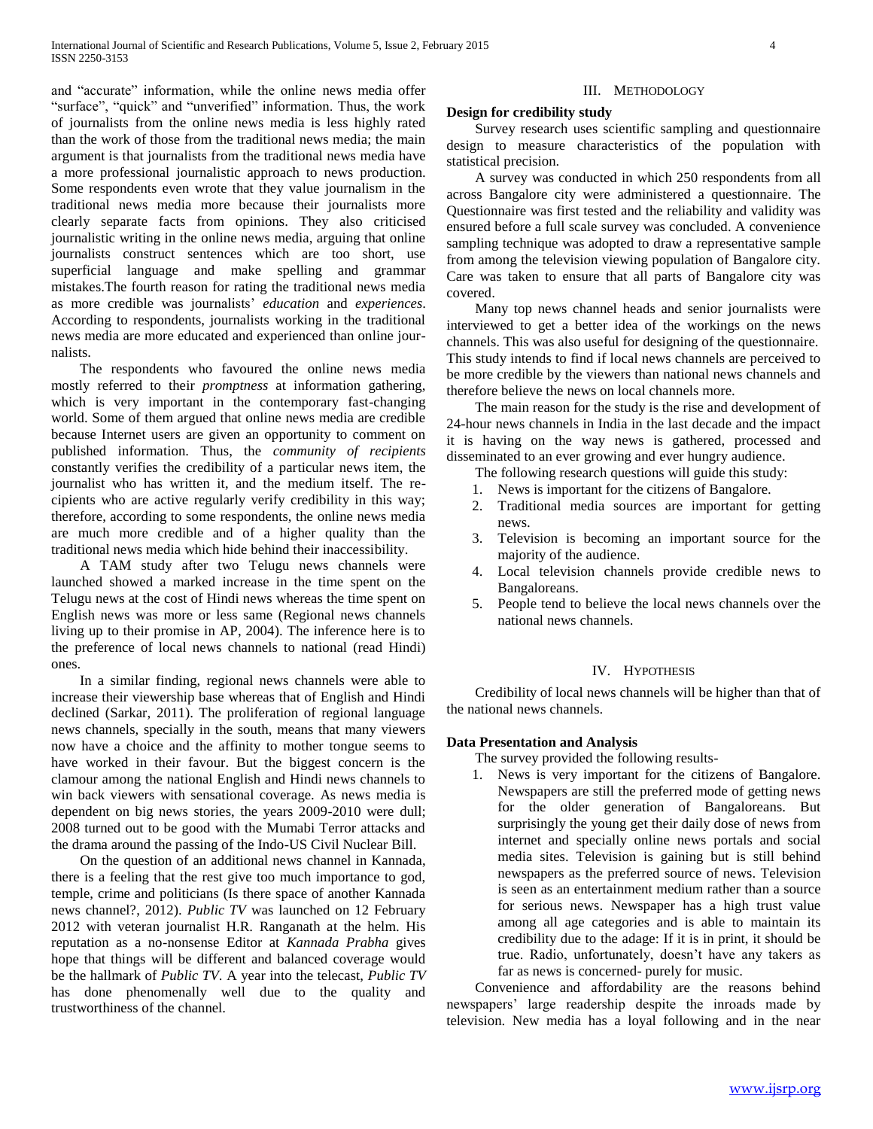and "accurate" information, while the online news media offer "surface", "quick" and "unverified" information. Thus, the work of journalists from the online news media is less highly rated than the work of those from the traditional news media; the main argument is that journalists from the traditional news media have a more professional journalistic approach to news production. Some respondents even wrote that they value journalism in the traditional news media more because their journalists more clearly separate facts from opinions. They also criticised journalistic writing in the online news media, arguing that online journalists construct sentences which are too short, use superficial language and make spelling and grammar mistakes.The fourth reason for rating the traditional news media as more credible was journalists' *education* and *experiences*. According to respondents, journalists working in the traditional news media are more educated and experienced than online journalists.

 The respondents who favoured the online news media mostly referred to their *promptness* at information gathering, which is very important in the contemporary fast-changing world. Some of them argued that online news media are credible because Internet users are given an opportunity to comment on published information. Thus, the *community of recipients* constantly verifies the credibility of a particular news item, the journalist who has written it, and the medium itself. The recipients who are active regularly verify credibility in this way; therefore, according to some respondents, the online news media are much more credible and of a higher quality than the traditional news media which hide behind their inaccessibility.

 A TAM study after two Telugu news channels were launched showed a marked increase in the time spent on the Telugu news at the cost of Hindi news whereas the time spent on English news was more or less same (Regional news channels living up to their promise in AP, 2004). The inference here is to the preference of local news channels to national (read Hindi) ones.

 In a similar finding, regional news channels were able to increase their viewership base whereas that of English and Hindi declined (Sarkar, 2011). The proliferation of regional language news channels, specially in the south, means that many viewers now have a choice and the affinity to mother tongue seems to have worked in their favour. But the biggest concern is the clamour among the national English and Hindi news channels to win back viewers with sensational coverage. As news media is dependent on big news stories, the years 2009-2010 were dull; 2008 turned out to be good with the Mumabi Terror attacks and the drama around the passing of the Indo-US Civil Nuclear Bill.

 On the question of an additional news channel in Kannada, there is a feeling that the rest give too much importance to god, temple, crime and politicians (Is there space of another Kannada news channel?, 2012). *Public TV* was launched on 12 February 2012 with veteran journalist H.R. Ranganath at the helm. His reputation as a no-nonsense Editor at *Kannada Prabha* gives hope that things will be different and balanced coverage would be the hallmark of *Public TV*. A year into the telecast, *Public TV* has done phenomenally well due to the quality and trustworthiness of the channel.

#### III. METHODOLOGY

#### **Design for credibility study**

 Survey research uses scientific sampling and questionnaire design to measure characteristics of the population with statistical precision.

 A survey was conducted in which 250 respondents from all across Bangalore city were administered a questionnaire. The Questionnaire was first tested and the reliability and validity was ensured before a full scale survey was concluded. A convenience sampling technique was adopted to draw a representative sample from among the television viewing population of Bangalore city. Care was taken to ensure that all parts of Bangalore city was covered.

 Many top news channel heads and senior journalists were interviewed to get a better idea of the workings on the news channels. This was also useful for designing of the questionnaire. This study intends to find if local news channels are perceived to be more credible by the viewers than national news channels and therefore believe the news on local channels more.

 The main reason for the study is the rise and development of 24-hour news channels in India in the last decade and the impact it is having on the way news is gathered, processed and disseminated to an ever growing and ever hungry audience.

The following research questions will guide this study:

- 1. News is important for the citizens of Bangalore.
- 2. Traditional media sources are important for getting news.
- 3. Television is becoming an important source for the majority of the audience.
- 4. Local television channels provide credible news to Bangaloreans.
- 5. People tend to believe the local news channels over the national news channels.

### IV. HYPOTHESIS

 Credibility of local news channels will be higher than that of the national news channels.

# **Data Presentation and Analysis**

The survey provided the following results-

1. News is very important for the citizens of Bangalore. Newspapers are still the preferred mode of getting news for the older generation of Bangaloreans. But surprisingly the young get their daily dose of news from internet and specially online news portals and social media sites. Television is gaining but is still behind newspapers as the preferred source of news. Television is seen as an entertainment medium rather than a source for serious news. Newspaper has a high trust value among all age categories and is able to maintain its credibility due to the adage: If it is in print, it should be true. Radio, unfortunately, doesn't have any takers as far as news is concerned- purely for music.

 Convenience and affordability are the reasons behind newspapers' large readership despite the inroads made by television. New media has a loyal following and in the near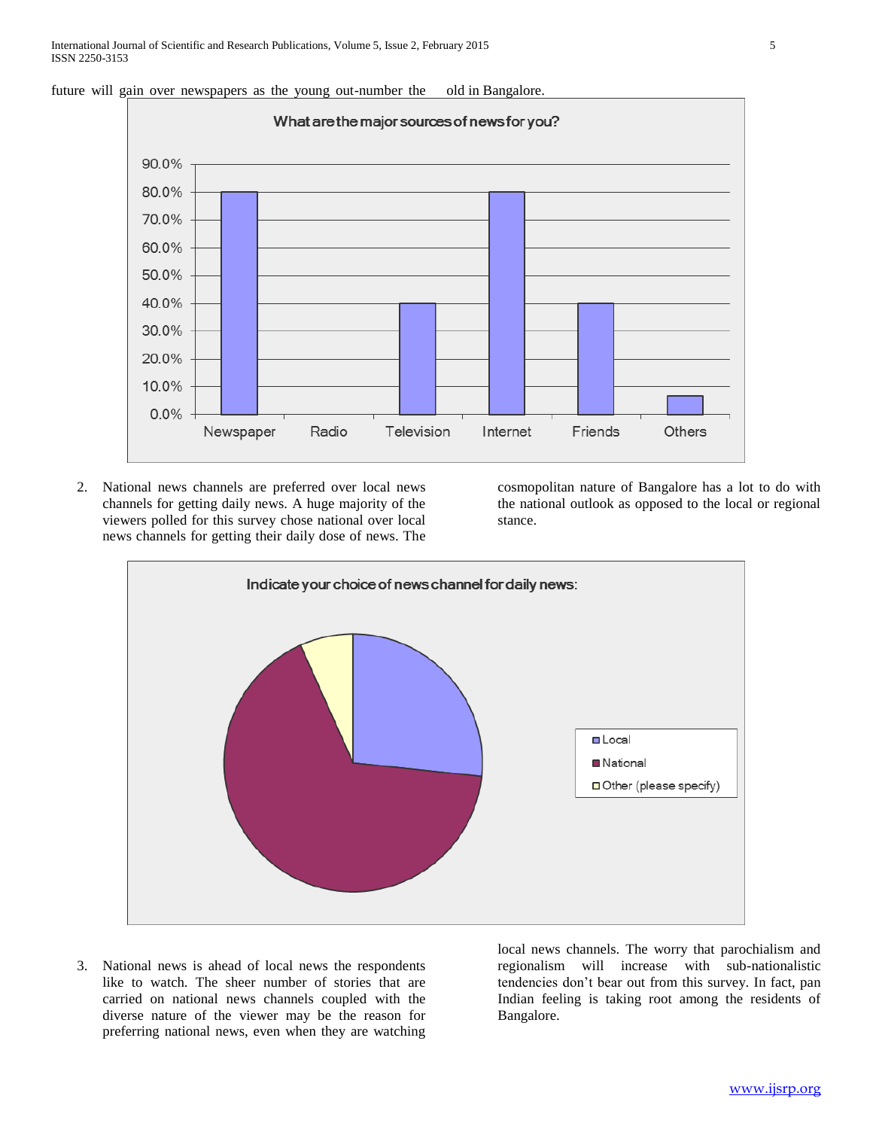



2. National news channels are preferred over local news channels for getting daily news. A huge majority of the viewers polled for this survey chose national over local news channels for getting their daily dose of news. The cosmopolitan nature of Bangalore has a lot to do with the national outlook as opposed to the local or regional stance.



3. National news is ahead of local news the respondents like to watch. The sheer number of stories that are carried on national news channels coupled with the diverse nature of the viewer may be the reason for preferring national news, even when they are watching local news channels. The worry that parochialism and regionalism will increase with sub-nationalistic tendencies don't bear out from this survey. In fact, pan Indian feeling is taking root among the residents of Bangalore.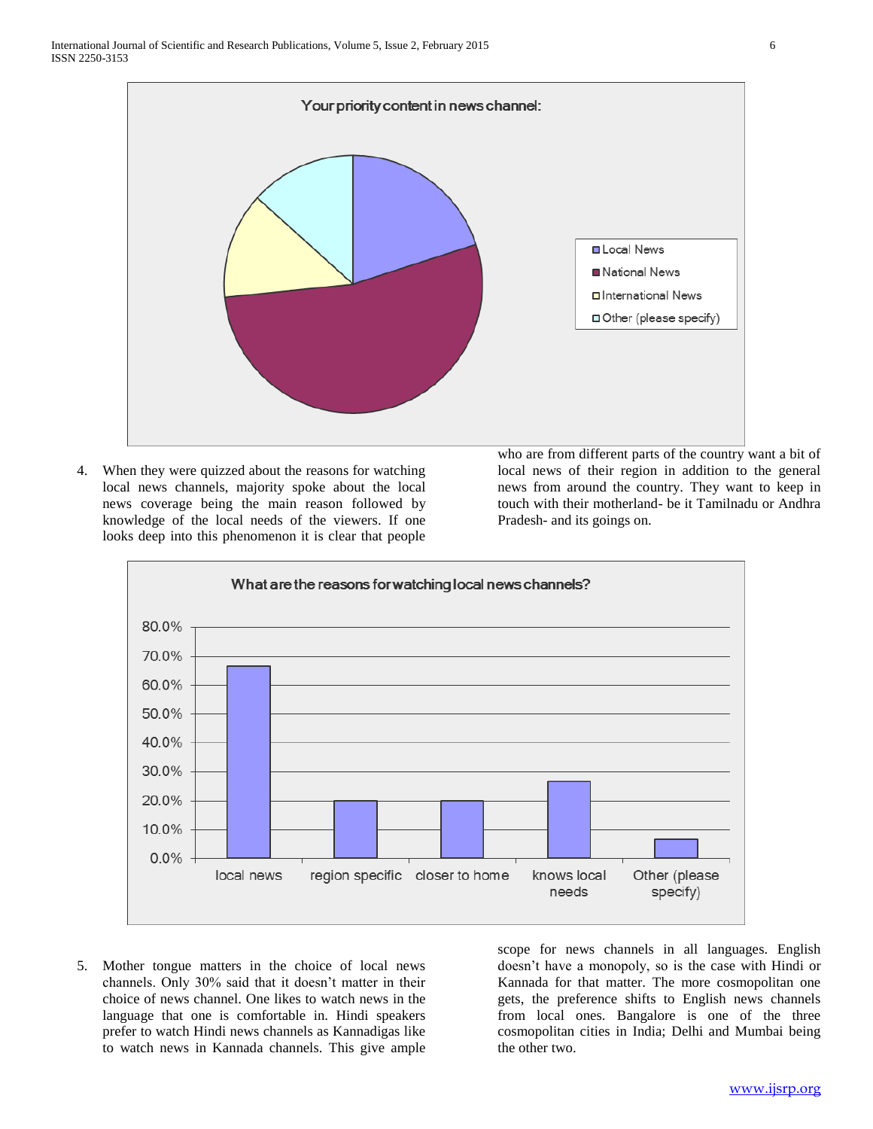

4. When they were quizzed about the reasons for watching local news channels, majority spoke about the local news coverage being the main reason followed by knowledge of the local needs of the viewers. If one looks deep into this phenomenon it is clear that people

who are from different parts of the country want a bit of local news of their region in addition to the general news from around the country. They want to keep in touch with their motherland- be it Tamilnadu or Andhra Pradesh- and its goings on.



5. Mother tongue matters in the choice of local news channels. Only 30% said that it doesn't matter in their choice of news channel. One likes to watch news in the language that one is comfortable in. Hindi speakers prefer to watch Hindi news channels as Kannadigas like to watch news in Kannada channels. This give ample

scope for news channels in all languages. English doesn't have a monopoly, so is the case with Hindi or Kannada for that matter. The more cosmopolitan one gets, the preference shifts to English news channels from local ones. Bangalore is one of the three cosmopolitan cities in India; Delhi and Mumbai being the other two.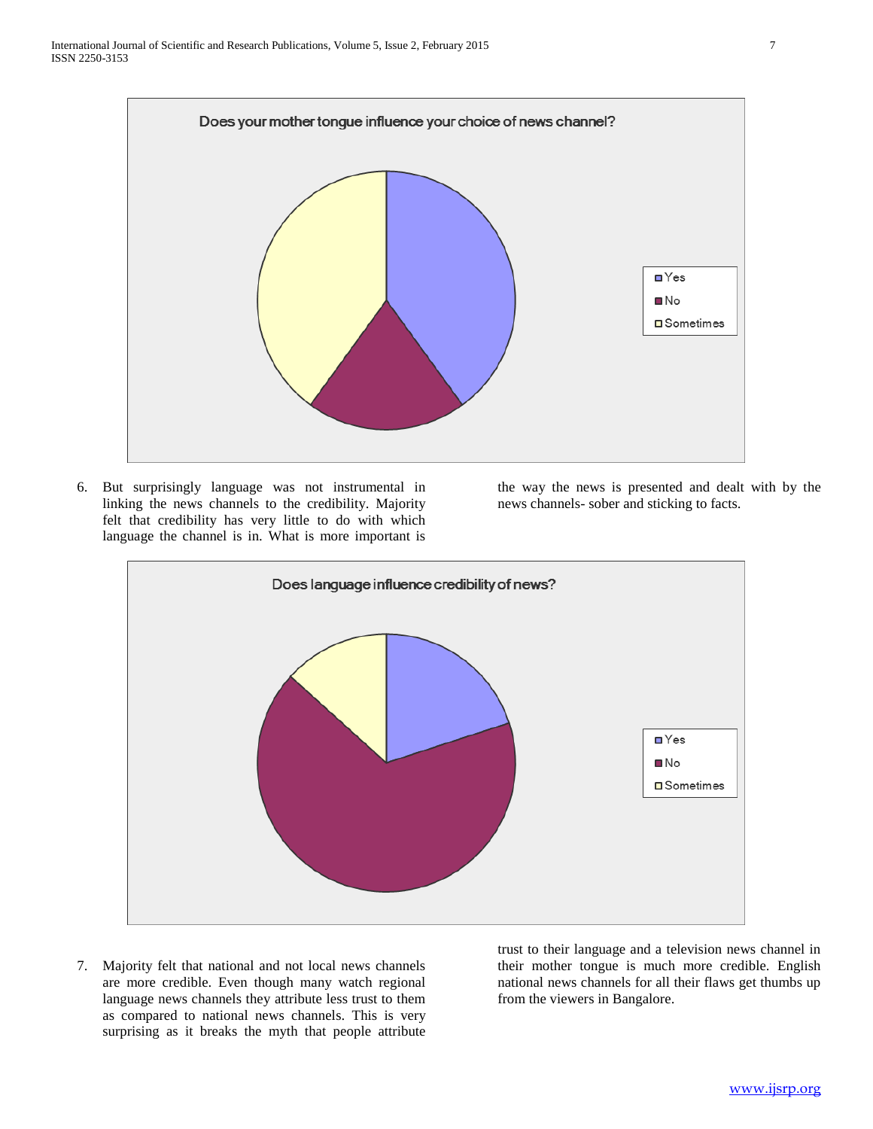

6. But surprisingly language was not instrumental in linking the news channels to the credibility. Majority felt that credibility has very little to do with which language the channel is in. What is more important is the way the news is presented and dealt with by the news channels- sober and sticking to facts.



7. Majority felt that national and not local news channels are more credible. Even though many watch regional language news channels they attribute less trust to them as compared to national news channels. This is very surprising as it breaks the myth that people attribute trust to their language and a television news channel in their mother tongue is much more credible. English national news channels for all their flaws get thumbs up from the viewers in Bangalore.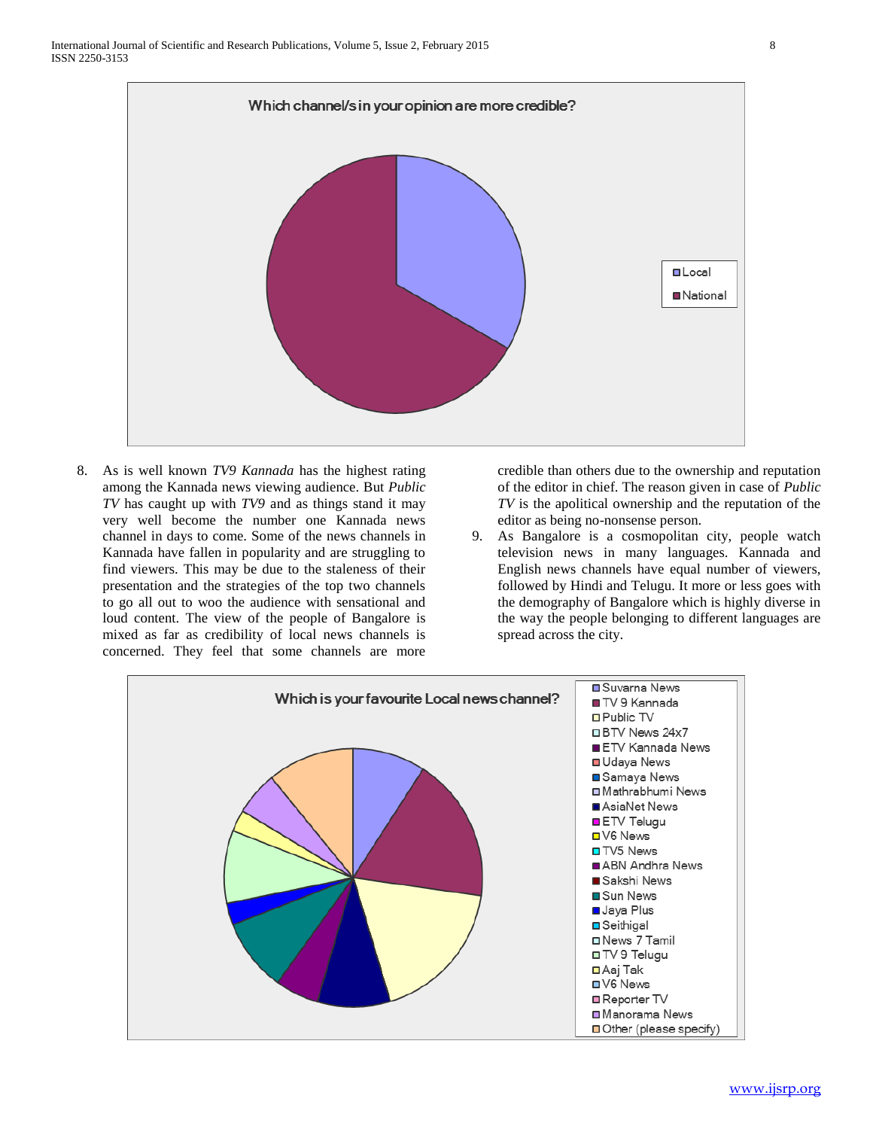

8. As is well known *TV9 Kannada* has the highest rating among the Kannada news viewing audience. But *Public TV* has caught up with *TV9* and as things stand it may very well become the number one Kannada news channel in days to come. Some of the news channels in Kannada have fallen in popularity and are struggling to find viewers. This may be due to the staleness of their presentation and the strategies of the top two channels to go all out to woo the audience with sensational and loud content. The view of the people of Bangalore is mixed as far as credibility of local news channels is concerned. They feel that some channels are more credible than others due to the ownership and reputation of the editor in chief. The reason given in case of *Public TV* is the apolitical ownership and the reputation of the editor as being no-nonsense person.

9. As Bangalore is a cosmopolitan city, people watch television news in many languages. Kannada and English news channels have equal number of viewers, followed by Hindi and Telugu. It more or less goes with the demography of Bangalore which is highly diverse in the way the people belonging to different languages are spread across the city.

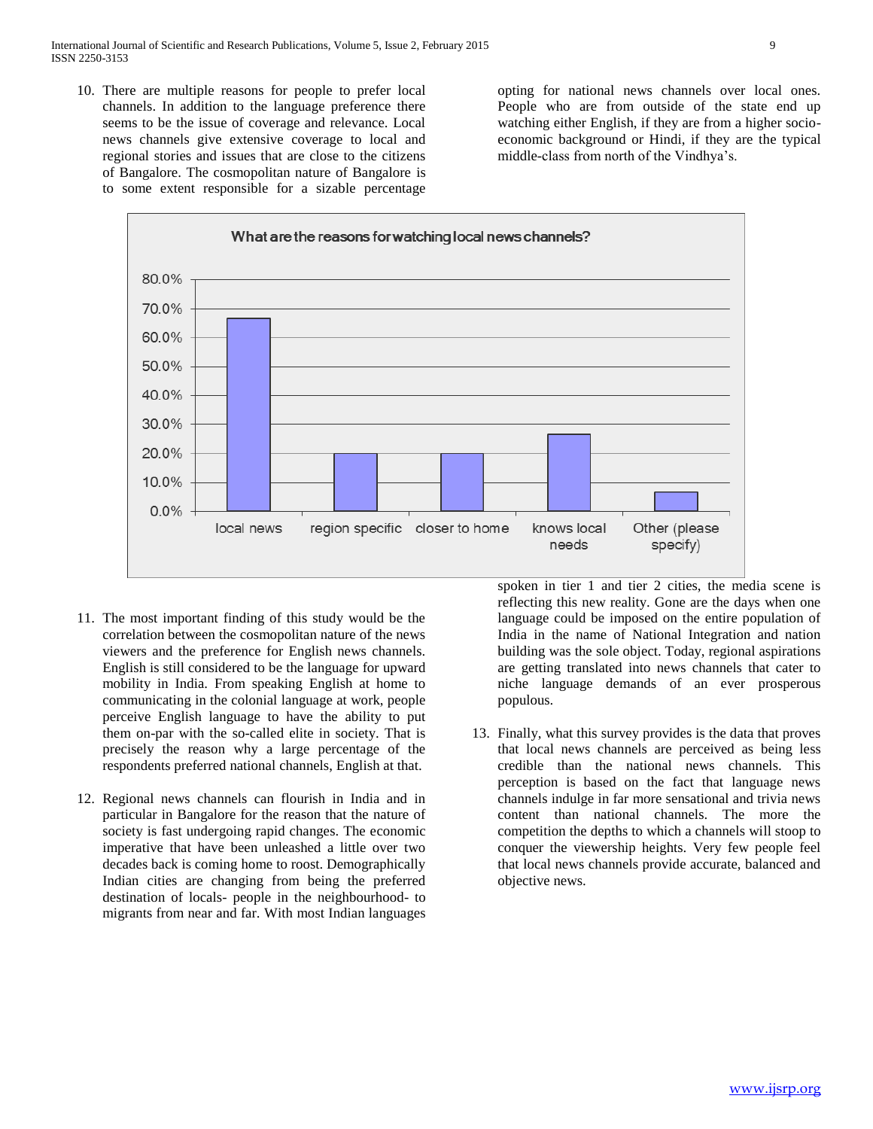10. There are multiple reasons for people to prefer local channels. In addition to the language preference there seems to be the issue of coverage and relevance. Local news channels give extensive coverage to local and regional stories and issues that are close to the citizens of Bangalore. The cosmopolitan nature of Bangalore is to some extent responsible for a sizable percentage opting for national news channels over local ones. People who are from outside of the state end up watching either English, if they are from a higher socioeconomic background or Hindi, if they are the typical middle-class from north of the Vindhya's.



- 11. The most important finding of this study would be the correlation between the cosmopolitan nature of the news viewers and the preference for English news channels. English is still considered to be the language for upward mobility in India. From speaking English at home to communicating in the colonial language at work, people perceive English language to have the ability to put them on-par with the so-called elite in society. That is precisely the reason why a large percentage of the respondents preferred national channels, English at that.
- 12. Regional news channels can flourish in India and in particular in Bangalore for the reason that the nature of society is fast undergoing rapid changes. The economic imperative that have been unleashed a little over two decades back is coming home to roost. Demographically Indian cities are changing from being the preferred destination of locals- people in the neighbourhood- to migrants from near and far. With most Indian languages

spoken in tier 1 and tier 2 cities, the media scene is reflecting this new reality. Gone are the days when one language could be imposed on the entire population of India in the name of National Integration and nation building was the sole object. Today, regional aspirations are getting translated into news channels that cater to niche language demands of an ever prosperous populous.

13. Finally, what this survey provides is the data that proves that local news channels are perceived as being less credible than the national news channels. This perception is based on the fact that language news channels indulge in far more sensational and trivia news content than national channels. The more the competition the depths to which a channels will stoop to conquer the viewership heights. Very few people feel that local news channels provide accurate, balanced and objective news.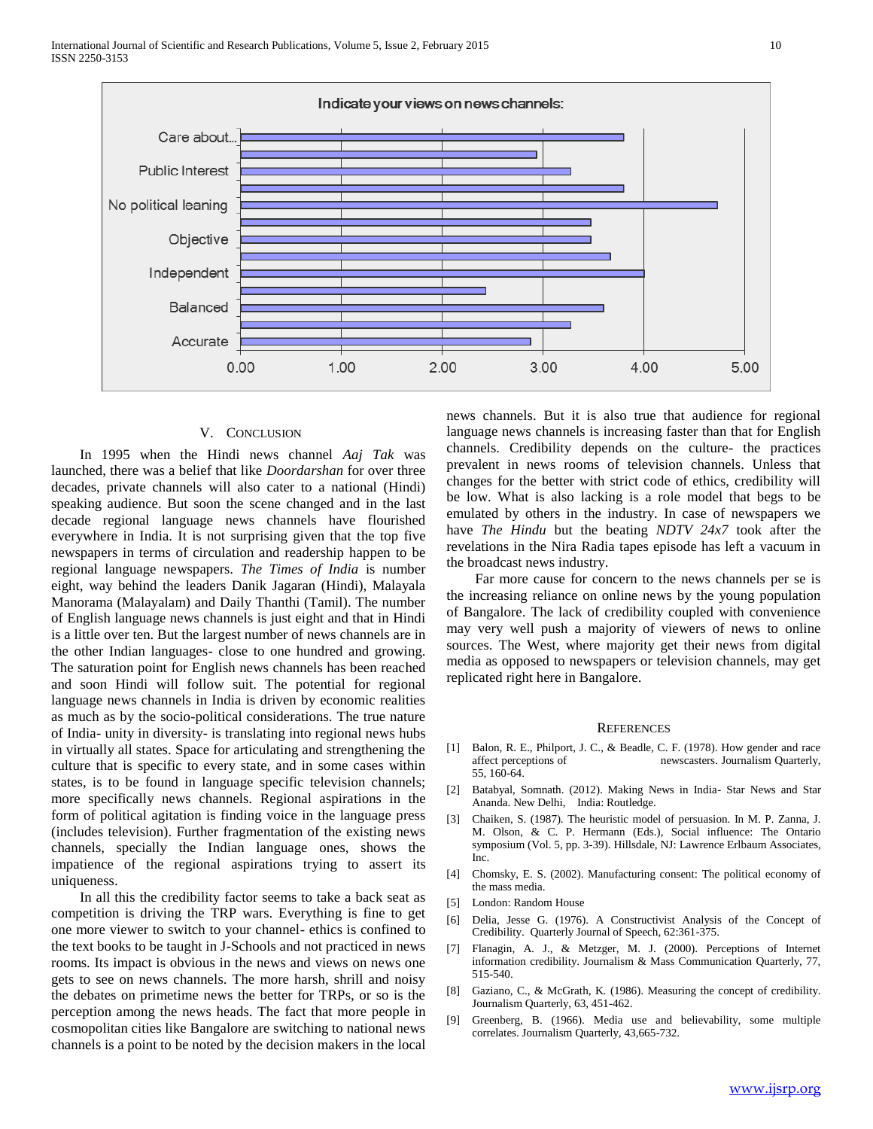

## V. CONCLUSION

 In 1995 when the Hindi news channel *Aaj Tak* was launched, there was a belief that like *Doordarshan* for over three decades, private channels will also cater to a national (Hindi) speaking audience. But soon the scene changed and in the last decade regional language news channels have flourished everywhere in India. It is not surprising given that the top five newspapers in terms of circulation and readership happen to be regional language newspapers. *The Times of India* is number eight, way behind the leaders Danik Jagaran (Hindi), Malayala Manorama (Malayalam) and Daily Thanthi (Tamil). The number of English language news channels is just eight and that in Hindi is a little over ten. But the largest number of news channels are in the other Indian languages- close to one hundred and growing. The saturation point for English news channels has been reached and soon Hindi will follow suit. The potential for regional language news channels in India is driven by economic realities as much as by the socio-political considerations. The true nature of India- unity in diversity- is translating into regional news hubs in virtually all states. Space for articulating and strengthening the culture that is specific to every state, and in some cases within states, is to be found in language specific television channels; more specifically news channels. Regional aspirations in the form of political agitation is finding voice in the language press (includes television). Further fragmentation of the existing news channels, specially the Indian language ones, shows the impatience of the regional aspirations trying to assert its uniqueness.

 In all this the credibility factor seems to take a back seat as competition is driving the TRP wars. Everything is fine to get one more viewer to switch to your channel- ethics is confined to the text books to be taught in J-Schools and not practiced in news rooms. Its impact is obvious in the news and views on news one gets to see on news channels. The more harsh, shrill and noisy the debates on primetime news the better for TRPs, or so is the perception among the news heads. The fact that more people in cosmopolitan cities like Bangalore are switching to national news channels is a point to be noted by the decision makers in the local

news channels. But it is also true that audience for regional language news channels is increasing faster than that for English channels. Credibility depends on the culture- the practices prevalent in news rooms of television channels. Unless that changes for the better with strict code of ethics, credibility will be low. What is also lacking is a role model that begs to be emulated by others in the industry. In case of newspapers we have *The Hindu* but the beating *NDTV 24x7* took after the revelations in the Nira Radia tapes episode has left a vacuum in the broadcast news industry.

 Far more cause for concern to the news channels per se is the increasing reliance on online news by the young population of Bangalore. The lack of credibility coupled with convenience may very well push a majority of viewers of news to online sources. The West, where majority get their news from digital media as opposed to newspapers or television channels, may get replicated right here in Bangalore.

#### **REFERENCES**

- [1] Balon, R. E., Philport, J. C., & Beadle, C. F. (1978). How gender and race affect perceptions of newscasters. Journalism Quarterly, 55, 160-64.
- [2] Batabyal, Somnath. (2012). Making News in India- Star News and Star Ananda. New Delhi, India: Routledge.
- Chaiken, S. (1987). The heuristic model of persuasion. In M. P. Zanna, J. M. Olson, & C. P. Hermann (Eds.), Social influence: The Ontario symposium (Vol. 5, pp. 3-39). Hillsdale, NJ: Lawrence Erlbaum Associates, Inc.
- [4] Chomsky, E. S. (2002). Manufacturing consent: The political economy of the mass media.
- [5] London: Random House
- [6] Delia, Jesse G. (1976). A Constructivist Analysis of the Concept of Credibility. Quarterly Journal of Speech, 62:361-375.
- [7] Flanagin, A. J., & Metzger, M. J. (2000). Perceptions of Internet information credibility. Journalism & Mass Communication Quarterly, 77, 515-540.
- [8] Gaziano, C., & McGrath, K. (1986). Measuring the concept of credibility. Journalism Quarterly, 63, 451-462.
- [9] Greenberg, B. (1966). Media use and believability, some multiple correlates. Journalism Quarterly, 43,665-732.